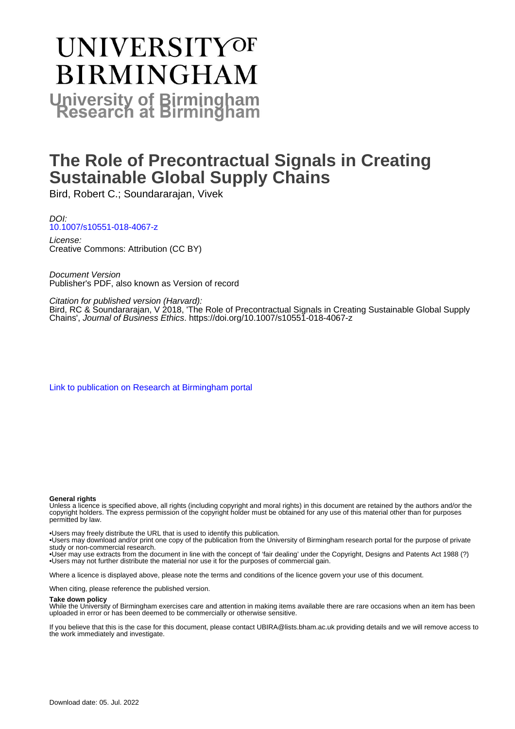# **UNIVERSITYOF BIRMINGHAM University of Birmingham**

## **The Role of Precontractual Signals in Creating Sustainable Global Supply Chains**

Bird, Robert C.; Soundararajan, Vivek

DOI: [10.1007/s10551-018-4067-z](https://doi.org/10.1007/s10551-018-4067-z)

License: Creative Commons: Attribution (CC BY)

Document Version Publisher's PDF, also known as Version of record

Citation for published version (Harvard):

Bird, RC & Soundararajan, V 2018, 'The Role of Precontractual Signals in Creating Sustainable Global Supply Chains', Journal of Business Ethics.<https://doi.org/10.1007/s10551-018-4067-z>

[Link to publication on Research at Birmingham portal](https://birmingham.elsevierpure.com/en/publications/c2c275f4-dda6-496d-b6e7-9a55b74cb7b3)

#### **General rights**

Unless a licence is specified above, all rights (including copyright and moral rights) in this document are retained by the authors and/or the copyright holders. The express permission of the copyright holder must be obtained for any use of this material other than for purposes permitted by law.

• Users may freely distribute the URL that is used to identify this publication.

• Users may download and/or print one copy of the publication from the University of Birmingham research portal for the purpose of private study or non-commercial research.

• User may use extracts from the document in line with the concept of 'fair dealing' under the Copyright, Designs and Patents Act 1988 (?) • Users may not further distribute the material nor use it for the purposes of commercial gain.

Where a licence is displayed above, please note the terms and conditions of the licence govern your use of this document.

When citing, please reference the published version.

#### **Take down policy**

While the University of Birmingham exercises care and attention in making items available there are rare occasions when an item has been uploaded in error or has been deemed to be commercially or otherwise sensitive.

If you believe that this is the case for this document, please contact UBIRA@lists.bham.ac.uk providing details and we will remove access to the work immediately and investigate.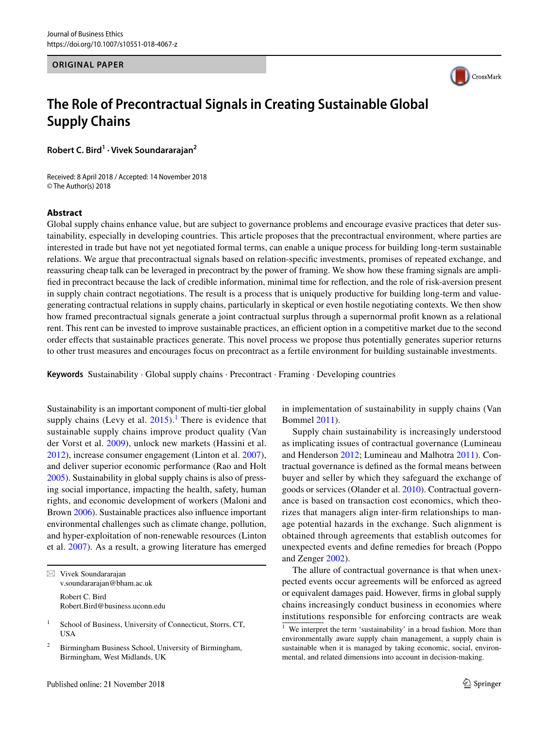**ORIGINAL PAPER**



### **The Role of Precontractual Signals in Creating Sustainable Global Supply Chains**

**Robert C. Bird1 · Vivek Soundararajan2**

Received: 8 April 2018 / Accepted: 14 November 2018 © The Author(s) 2018

#### **Abstract**

Global supply chains enhance value, but are subject to governance problems and encourage evasive practices that deter sustainability, especially in developing countries. This article proposes that the precontractual environment, where parties are interested in trade but have not yet negotiated formal terms, can enable a unique process for building long-term sustainable relations. We argue that precontractual signals based on relation-specific investments, promises of repeated exchange, and reassuring cheap talk can be leveraged in precontract by the power of framing. We show how these framing signals are amplified in precontract because the lack of credible information, minimal time for reflection, and the role of risk-aversion present in supply chain contract negotiations. The result is a process that is uniquely productive for building long-term and valuegenerating contractual relations in supply chains, particularly in skeptical or even hostile negotiating contexts. We then show how framed precontractual signals generate a joint contractual surplus through a supernormal profit known as a relational rent. This rent can be invested to improve sustainable practices, an efficient option in a competitive market due to the second order effects that sustainable practices generate. This novel process we propose thus potentially generates superior returns to other trust measures and encourages focus on precontract as a fertile environment for building sustainable investments.

**Keywords** Sustainability · Global supply chains · Precontract · Framing · Developing countries

Sustainability is an important component of multi-tier global supply chains (Levy et al.  $2015$ ).<sup>[1](#page-1-0)</sup> There is evidence that sustainable supply chains improve product quality (Van der Vorst et al. [2009](#page-14-0)), unlock new markets (Hassini et al. [2012](#page-12-0)), increase consumer engagement (Linton et al. [2007](#page-13-1)), and deliver superior economic performance (Rao and Holt [2005\)](#page-13-2). Sustainability in global supply chains is also of pressing social importance, impacting the health, safety, human rights, and economic development of workers (Maloni and Brown [2006\)](#page-13-3). Sustainable practices also influence important environmental challenges such as climate change, pollution, and hyper-exploitation of non-renewable resources (Linton et al. [2007\)](#page-13-1). As a result, a growing literature has emerged

 $\boxtimes$  Vivek Soundararajan v.soundararajan@bham.ac.uk Robert C. Bird Robert.Bird@business.uconn.edu in implementation of sustainability in supply chains (Van Bommel [2011\)](#page-11-0).

Supply chain sustainability is increasingly understood as implicating issues of contractual governance (Lumineau and Henderson [2012;](#page-13-4) Lumineau and Malhotra [2011\)](#page-13-5). Contractual governance is defined as the formal means between buyer and seller by which they safeguard the exchange of goods or services (Olander et al. [2010\)](#page-13-6). Contractual governance is based on transaction cost economics, which theorizes that managers align inter-firm relationships to manage potential hazards in the exchange. Such alignment is obtained through agreements that establish outcomes for unexpected events and define remedies for breach (Poppo and Zenger [2002](#page-13-7)).

The allure of contractual governance is that when unexpected events occur agreements will be enforced as agreed or equivalent damages paid. However, firms in global supply chains increasingly conduct business in economies where institutions responsible for enforcing contracts are weak

<sup>&</sup>lt;sup>1</sup> School of Business, University of Connecticut, Storrs, CT, USA

<sup>&</sup>lt;sup>2</sup> Birmingham Business School, University of Birmingham, Birmingham, West Midlands, UK

<span id="page-1-0"></span><sup>&</sup>lt;sup>1</sup> We interpret the term 'sustainability' in a broad fashion. More than environmentally aware supply chain management, a supply chain is sustainable when it is managed by taking economic, social, environmental, and related dimensions into account in decision-making.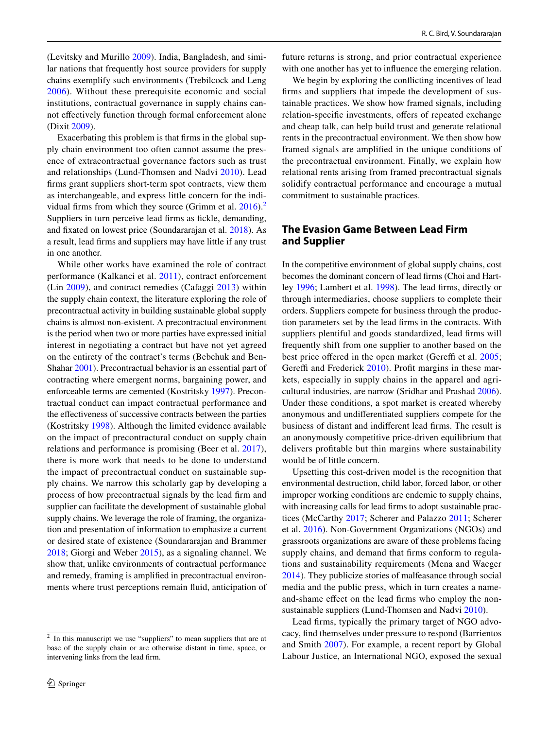(Levitsky and Murillo [2009\)](#page-13-8). India, Bangladesh, and similar nations that frequently host source providers for supply chains exemplify such environments (Trebilcock and Leng [2006](#page-14-1)). Without these prerequisite economic and social institutions, contractual governance in supply chains cannot effectively function through formal enforcement alone (Dixit [2009\)](#page-11-1).

Exacerbating this problem is that firms in the global supply chain environment too often cannot assume the presence of extracontractual governance factors such as trust and relationships (Lund-Thomsen and Nadvi [2010\)](#page-13-9). Lead firms grant suppliers short-term spot contracts, view them as interchangeable, and express little concern for the individual firms from which they source (Grimm et al.  $2016$  $2016$ ).<sup>2</sup> Suppliers in turn perceive lead firms as fickle, demanding, and fixated on lowest price (Soundararajan et al. [2018](#page-14-2)). As a result, lead firms and suppliers may have little if any trust in one another.

While other works have examined the role of contract performance (Kalkanci et al. [2011](#page-12-2)), contract enforcement (Lin [2009\)](#page-13-10), and contract remedies (Cafaggi [2013](#page-11-2)) within the supply chain context, the literature exploring the role of precontractual activity in building sustainable global supply chains is almost non-existent. A precontractual environment is the period when two or more parties have expressed initial interest in negotiating a contract but have not yet agreed on the entirety of the contract's terms (Bebchuk and Ben-Shahar [2001\)](#page-11-3). Precontractual behavior is an essential part of contracting where emergent norms, bargaining power, and enforceable terms are cemented (Kostritsky [1997](#page-12-3)). Precontractual conduct can impact contractual performance and the effectiveness of successive contracts between the parties (Kostritsky [1998](#page-12-4)). Although the limited evidence available on the impact of precontractural conduct on supply chain relations and performance is promising (Beer et al. [2017](#page-11-4)), there is more work that needs to be done to understand the impact of precontractual conduct on sustainable supply chains. We narrow this scholarly gap by developing a process of how precontractual signals by the lead firm and supplier can facilitate the development of sustainable global supply chains. We leverage the role of framing, the organization and presentation of information to emphasize a current or desired state of existence (Soundararajan and Brammer [2018](#page-14-3); Giorgi and Weber [2015](#page-12-5)), as a signaling channel. We show that, unlike environments of contractual performance and remedy, framing is amplified in precontractual environments where trust perceptions remain fluid, anticipation of

<span id="page-2-0"></span>In this manuscript we use "suppliers" to mean suppliers that are at base of the supply chain or are otherwise distant in time, space, or intervening links from the lead firm.

future returns is strong, and prior contractual experience with one another has yet to influence the emerging relation.

We begin by exploring the conflicting incentives of lead firms and suppliers that impede the development of sustainable practices. We show how framed signals, including relation-specific investments, offers of repeated exchange and cheap talk, can help build trust and generate relational rents in the precontractual environment. We then show how framed signals are amplified in the unique conditions of the precontractual environment. Finally, we explain how relational rents arising from framed precontractual signals solidify contractual performance and encourage a mutual commitment to sustainable practices.

#### **The Evasion Game Between Lead Firm and Supplier**

In the competitive environment of global supply chains, cost becomes the dominant concern of lead firms (Choi and Hartley [1996;](#page-11-5) Lambert et al. [1998](#page-12-6)). The lead firms, directly or through intermediaries, choose suppliers to complete their orders. Suppliers compete for business through the production parameters set by the lead firms in the contracts. With suppliers plentiful and goods standardized, lead firms will frequently shift from one supplier to another based on the best price offered in the open market (Gereffi et al. [2005](#page-12-7); Gereffi and Frederick [2010\)](#page-12-8). Profit margins in these markets, especially in supply chains in the apparel and agricultural industries, are narrow (Sridhar and Prashad [2006](#page-14-4)). Under these conditions, a spot market is created whereby anonymous and undifferentiated suppliers compete for the business of distant and indifferent lead firms. The result is an anonymously competitive price-driven equilibrium that delivers profitable but thin margins where sustainability would be of little concern.

Upsetting this cost-driven model is the recognition that environmental destruction, child labor, forced labor, or other improper working conditions are endemic to supply chains, with increasing calls for lead firms to adopt sustainable practices (McCarthy [2017;](#page-13-11) Scherer and Palazzo [2011;](#page-13-12) Scherer et al. [2016\)](#page-13-13). Non-Government Organizations (NGOs) and grassroots organizations are aware of these problems facing supply chains, and demand that firms conform to regulations and sustainability requirements (Mena and Waeger [2014](#page-13-14)). They publicize stories of malfeasance through social media and the public press, which in turn creates a nameand-shame effect on the lead firms who employ the nonsustainable suppliers (Lund-Thomsen and Nadvi [2010\)](#page-13-9).

Lead firms, typically the primary target of NGO advocacy, find themselves under pressure to respond (Barrientos and Smith [2007](#page-11-6)). For example, a recent report by Global Labour Justice, an International NGO, exposed the sexual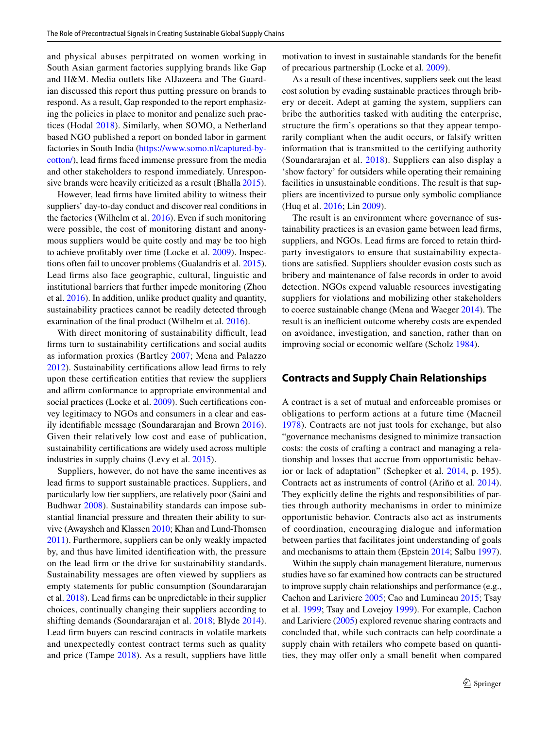and physical abuses perpitrated on women working in South Asian garment factories supplying brands like Gap and H&M. Media outlets like AlJazeera and The Guardian discussed this report thus putting pressure on brands to respond. As a result, Gap responded to the report emphasizing the policies in place to monitor and penalize such practices (Hodal [2018\)](#page-12-9). Similarly, when SOMO, a Netherland based NGO published a report on bonded labor in garment factories in South India ([https://www.somo.nl/captured-by](https://www.somo.nl/captured-by-cotton/)[cotton/\)](https://www.somo.nl/captured-by-cotton/), lead firms faced immense pressure from the media and other stakeholders to respond immediately. Unresponsive brands were heavily criticized as a result (Bhalla [2015](#page-11-7)).

However, lead firms have limited ability to witness their suppliers' day-to-day conduct and discover real conditions in the factories (Wilhelm et al. [2016\)](#page-14-5). Even if such monitoring were possible, the cost of monitoring distant and anonymous suppliers would be quite costly and may be too high to achieve profitably over time (Locke et al. [2009\)](#page-13-15). Inspections often fail to uncover problems (Gualandris et al. [2015](#page-12-10)). Lead firms also face geographic, cultural, linguistic and institutional barriers that further impede monitoring (Zhou et al. [2016](#page-14-6)). In addition, unlike product quality and quantity, sustainability practices cannot be readily detected through examination of the final product (Wilhelm et al. [2016\)](#page-14-5).

With direct monitoring of sustainability difficult, lead firms turn to sustainability certifications and social audits as information proxies (Bartley [2007](#page-11-8); Mena and Palazzo [2012](#page-13-16)). Sustainability certifications allow lead firms to rely upon these certification entities that review the suppliers and affirm conformance to appropriate environmental and social practices (Locke et al. [2009\)](#page-13-15). Such certifications convey legitimacy to NGOs and consumers in a clear and easily identifiable message (Soundararajan and Brown [2016](#page-14-7)). Given their relatively low cost and ease of publication, sustainability certifications are widely used across multiple industries in supply chains (Levy et al. [2015](#page-13-0)).

Suppliers, however, do not have the same incentives as lead firms to support sustainable practices. Suppliers, and particularly low tier suppliers, are relatively poor (Saini and Budhwar [2008\)](#page-13-17). Sustainability standards can impose substantial financial pressure and threaten their ability to survive (Awaysheh and Klassen [2010;](#page-11-9) Khan and Lund-Thomsen [2011](#page-12-11)). Furthermore, suppliers can be only weakly impacted by, and thus have limited identification with, the pressure on the lead firm or the drive for sustainability standards. Sustainability messages are often viewed by suppliers as empty statements for public consumption (Soundararajan et al. [2018\)](#page-14-2). Lead firms can be unpredictable in their supplier choices, continually changing their suppliers according to shifting demands (Soundararajan et al. [2018;](#page-14-2) Blyde [2014](#page-11-10)). Lead firm buyers can rescind contracts in volatile markets and unexpectedly contest contract terms such as quality and price (Tampe [2018\)](#page-14-8). As a result, suppliers have little motivation to invest in sustainable standards for the benefit of precarious partnership (Locke et al. [2009\)](#page-13-15).

As a result of these incentives, suppliers seek out the least cost solution by evading sustainable practices through bribery or deceit. Adept at gaming the system, suppliers can bribe the authorities tasked with auditing the enterprise, structure the firm's operations so that they appear temporarily compliant when the audit occurs, or falsify written information that is transmitted to the certifying authority (Soundararajan et al. [2018](#page-14-2)). Suppliers can also display a 'show factory' for outsiders while operating their remaining facilities in unsustainable conditions. The result is that suppliers are incentivized to pursue only symbolic compliance (Huq et al. [2016](#page-12-12); Lin [2009](#page-13-10)).

The result is an environment where governance of sustainability practices is an evasion game between lead firms, suppliers, and NGOs. Lead firms are forced to retain thirdparty investigators to ensure that sustainability expectations are satisfied. Suppliers shoulder evasion costs such as bribery and maintenance of false records in order to avoid detection. NGOs expend valuable resources investigating suppliers for violations and mobilizing other stakeholders to coerce sustainable change (Mena and Waeger [2014](#page-13-14)). The result is an inefficient outcome whereby costs are expended on avoidance, investigation, and sanction, rather than on improving social or economic welfare (Scholz [1984\)](#page-13-18).

#### **Contracts and Supply Chain Relationships**

A contract is a set of mutual and enforceable promises or obligations to perform actions at a future time (Macneil [1978\)](#page-13-19). Contracts are not just tools for exchange, but also "governance mechanisms designed to minimize transaction costs: the costs of crafting a contract and managing a relationship and losses that accrue from opportunistic behavior or lack of adaptation" (Schepker et al. [2014,](#page-13-20) p. 195). Contracts act as instruments of control (Ariño et al. [2014](#page-11-11)). They explicitly define the rights and responsibilities of parties through authority mechanisms in order to minimize opportunistic behavior. Contracts also act as instruments of coordination, encouraging dialogue and information between parties that facilitates joint understanding of goals and mechanisms to attain them (Epstein [2014](#page-11-12); Salbu [1997](#page-13-21)).

Within the supply chain management literature, numerous studies have so far examined how contracts can be structured to improve supply chain relationships and performance (e.g., Cachon and Lariviere [2005;](#page-11-13) Cao and Lumineau [2015](#page-11-14); Tsay et al. [1999;](#page-14-9) Tsay and Lovejoy [1999](#page-14-10)). For example, Cachon and Lariviere ([2005\)](#page-11-13) explored revenue sharing contracts and concluded that, while such contracts can help coordinate a supply chain with retailers who compete based on quantities, they may offer only a small benefit when compared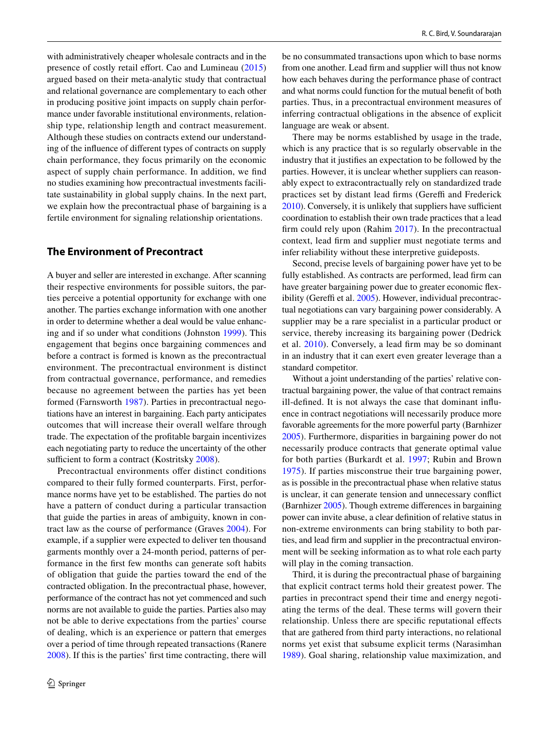with administratively cheaper wholesale contracts and in the presence of costly retail effort. Cao and Lumineau [\(2015\)](#page-11-14) argued based on their meta-analytic study that contractual and relational governance are complementary to each other in producing positive joint impacts on supply chain performance under favorable institutional environments, relationship type, relationship length and contract measurement. Although these studies on contracts extend our understanding of the influence of different types of contracts on supply chain performance, they focus primarily on the economic aspect of supply chain performance. In addition, we find no studies examining how precontractual investments facilitate sustainability in global supply chains. In the next part, we explain how the precontractual phase of bargaining is a fertile environment for signaling relationship orientations.

#### **The Environment of Precontract**

A buyer and seller are interested in exchange. After scanning their respective environments for possible suitors, the parties perceive a potential opportunity for exchange with one another. The parties exchange information with one another in order to determine whether a deal would be value enhancing and if so under what conditions (Johnston [1999](#page-12-13)). This engagement that begins once bargaining commences and before a contract is formed is known as the precontractual environment. The precontractual environment is distinct from contractual governance, performance, and remedies because no agreement between the parties has yet been formed (Farnsworth [1987\)](#page-12-14). Parties in precontractual negotiations have an interest in bargaining. Each party anticipates outcomes that will increase their overall welfare through trade. The expectation of the profitable bargain incentivizes each negotiating party to reduce the uncertainty of the other sufficient to form a contract (Kostritsky [2008\)](#page-12-15).

Precontractual environments offer distinct conditions compared to their fully formed counterparts. First, performance norms have yet to be established. The parties do not have a pattern of conduct during a particular transaction that guide the parties in areas of ambiguity, known in contract law as the course of performance (Graves [2004](#page-12-16)). For example, if a supplier were expected to deliver ten thousand garments monthly over a 24-month period, patterns of performance in the first few months can generate soft habits of obligation that guide the parties toward the end of the contracted obligation. In the precontractual phase, however, performance of the contract has not yet commenced and such norms are not available to guide the parties. Parties also may not be able to derive expectations from the parties' course of dealing, which is an experience or pattern that emerges over a period of time through repeated transactions (Ranere [2008](#page-13-22)). If this is the parties' first time contracting, there will be no consummated transactions upon which to base norms from one another. Lead firm and supplier will thus not know how each behaves during the performance phase of contract and what norms could function for the mutual benefit of both parties. Thus, in a precontractual environment measures of inferring contractual obligations in the absence of explicit language are weak or absent.

There may be norms established by usage in the trade, which is any practice that is so regularly observable in the industry that it justifies an expectation to be followed by the parties. However, it is unclear whether suppliers can reasonably expect to extracontractually rely on standardized trade practices set by distant lead firms (Gereffi and Frederick [2010\)](#page-12-8). Conversely, it is unlikely that suppliers have sufficient coordination to establish their own trade practices that a lead firm could rely upon (Rahim [2017\)](#page-13-23). In the precontractual context, lead firm and supplier must negotiate terms and infer reliability without these interpretive guideposts.

Second, precise levels of bargaining power have yet to be fully established. As contracts are performed, lead firm can have greater bargaining power due to greater economic flexibility (Gereffi et al. [2005](#page-12-7)). However, individual precontractual negotiations can vary bargaining power considerably. A supplier may be a rare specialist in a particular product or service, thereby increasing its bargaining power (Dedrick et al. [2010\)](#page-11-15). Conversely, a lead firm may be so dominant in an industry that it can exert even greater leverage than a standard competitor.

Without a joint understanding of the parties' relative contractual bargaining power, the value of that contract remains ill-defined. It is not always the case that dominant influence in contract negotiations will necessarily produce more favorable agreements for the more powerful party (Barnhizer [2005](#page-11-16)). Furthermore, disparities in bargaining power do not necessarily produce contracts that generate optimal value for both parties (Burkardt et al. [1997;](#page-11-17) Rubin and Brown [1975\)](#page-13-24). If parties misconstrue their true bargaining power, as is possible in the precontractual phase when relative status is unclear, it can generate tension and unnecessary conflict (Barnhizer [2005](#page-11-16)). Though extreme differences in bargaining power can invite abuse, a clear definition of relative status in non-extreme environments can bring stability to both parties, and lead firm and supplier in the precontractual environment will be seeking information as to what role each party will play in the coming transaction.

Third, it is during the precontractual phase of bargaining that explicit contract terms hold their greatest power. The parties in precontract spend their time and energy negotiating the terms of the deal. These terms will govern their relationship. Unless there are specific reputational effects that are gathered from third party interactions, no relational norms yet exist that subsume explicit terms (Narasimhan [1989](#page-13-25)). Goal sharing, relationship value maximization, and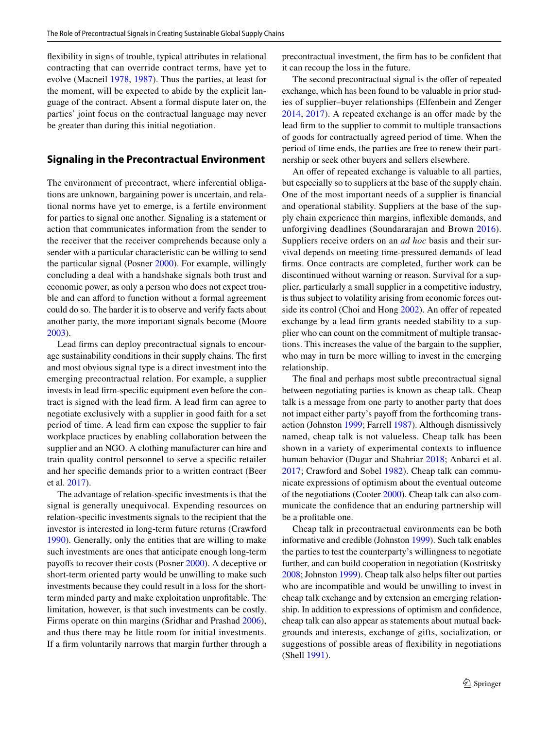flexibility in signs of trouble, typical attributes in relational contracting that can override contract terms, have yet to evolve (Macneil [1978,](#page-13-19) [1987\)](#page-13-26). Thus the parties, at least for the moment, will be expected to abide by the explicit language of the contract. Absent a formal dispute later on, the parties' joint focus on the contractual language may never be greater than during this initial negotiation.

#### **Signaling in the Precontractual Environment**

The environment of precontract, where inferential obligations are unknown, bargaining power is uncertain, and relational norms have yet to emerge, is a fertile environment for parties to signal one another. Signaling is a statement or action that communicates information from the sender to the receiver that the receiver comprehends because only a sender with a particular characteristic can be willing to send the particular signal (Posner [2000](#page-13-27)). For example, willingly concluding a deal with a handshake signals both trust and economic power, as only a person who does not expect trouble and can afford to function without a formal agreement could do so. The harder it is to observe and verify facts about another party, the more important signals become (Moore [2003](#page-13-28)).

Lead firms can deploy precontractual signals to encourage sustainability conditions in their supply chains. The first and most obvious signal type is a direct investment into the emerging precontractual relation. For example, a supplier invests in lead firm-specific equipment even before the contract is signed with the lead firm. A lead firm can agree to negotiate exclusively with a supplier in good faith for a set period of time. A lead firm can expose the supplier to fair workplace practices by enabling collaboration between the supplier and an NGO. A clothing manufacturer can hire and train quality control personnel to serve a specific retailer and her specific demands prior to a written contract (Beer et al. [2017](#page-11-4)).

The advantage of relation-specific investments is that the signal is generally unequivocal. Expending resources on relation-specific investments signals to the recipient that the investor is interested in long-term future returns (Crawford [1990](#page-11-18)). Generally, only the entities that are willing to make such investments are ones that anticipate enough long-term payoffs to recover their costs (Posner [2000\)](#page-13-27). A deceptive or short-term oriented party would be unwilling to make such investments because they could result in a loss for the shortterm minded party and make exploitation unprofitable. The limitation, however, is that such investments can be costly. Firms operate on thin margins (Sridhar and Prashad [2006](#page-14-4)), and thus there may be little room for initial investments. If a firm voluntarily narrows that margin further through a precontractual investment, the firm has to be confident that it can recoup the loss in the future.

The second precontractual signal is the offer of repeated exchange, which has been found to be valuable in prior studies of supplier–buyer relationships (Elfenbein and Zenger [2014,](#page-11-19) [2017](#page-11-20)). A repeated exchange is an offer made by the lead firm to the supplier to commit to multiple transactions of goods for contractually agreed period of time. When the period of time ends, the parties are free to renew their partnership or seek other buyers and sellers elsewhere.

An offer of repeated exchange is valuable to all parties, but especially so to suppliers at the base of the supply chain. One of the most important needs of a supplier is financial and operational stability. Suppliers at the base of the supply chain experience thin margins, inflexible demands, and unforgiving deadlines (Soundararajan and Brown [2016](#page-14-7)). Suppliers receive orders on an *ad hoc* basis and their survival depends on meeting time-pressured demands of lead firms. Once contracts are completed, further work can be discontinued without warning or reason. Survival for a supplier, particularly a small supplier in a competitive industry, is thus subject to volatility arising from economic forces outside its control (Choi and Hong [2002\)](#page-11-21). An offer of repeated exchange by a lead firm grants needed stability to a supplier who can count on the commitment of multiple transactions. This increases the value of the bargain to the supplier, who may in turn be more willing to invest in the emerging relationship.

The final and perhaps most subtle precontractual signal between negotiating parties is known as cheap talk. Cheap talk is a message from one party to another party that does not impact either party's payoff from the forthcoming transaction (Johnston [1999](#page-12-13); Farrell [1987](#page-12-17)). Although dismissively named, cheap talk is not valueless. Cheap talk has been shown in a variety of experimental contexts to influence human behavior (Dugar and Shahriar [2018;](#page-11-22) Anbarci et al. [2017;](#page-11-23) Crawford and Sobel [1982](#page-11-24)). Cheap talk can communicate expressions of optimism about the eventual outcome of the negotiations (Cooter [2000\)](#page-11-25). Cheap talk can also communicate the confidence that an enduring partnership will be a profitable one.

Cheap talk in precontractual environments can be both informative and credible (Johnston [1999\)](#page-12-13). Such talk enables the parties to test the counterparty's willingness to negotiate further, and can build cooperation in negotiation (Kostritsky [2008;](#page-12-15) Johnston [1999\)](#page-12-13). Cheap talk also helps filter out parties who are incompatible and would be unwilling to invest in cheap talk exchange and by extension an emerging relationship. In addition to expressions of optimism and confidence, cheap talk can also appear as statements about mutual backgrounds and interests, exchange of gifts, socialization, or suggestions of possible areas of flexibility in negotiations (Shell [1991\)](#page-14-11).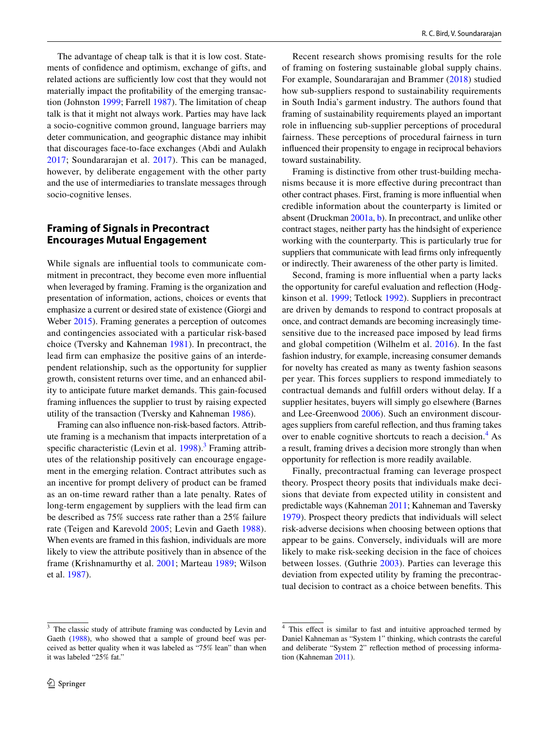The advantage of cheap talk is that it is low cost. Statements of confidence and optimism, exchange of gifts, and related actions are sufficiently low cost that they would not materially impact the profitability of the emerging transaction (Johnston [1999](#page-12-13); Farrell [1987](#page-12-17)). The limitation of cheap talk is that it might not always work. Parties may have lack a socio-cognitive common ground, language barriers may deter communication, and geographic distance may inhibit that discourages face-to-face exchanges (Abdi and Aulakh [2017;](#page-11-26) Soundararajan et al. [2017\)](#page-14-12). This can be managed, however, by deliberate engagement with the other party and the use of intermediaries to translate messages through socio-cognitive lenses.

#### **Framing of Signals in Precontract Encourages Mutual Engagement**

While signals are influential tools to communicate commitment in precontract, they become even more influential when leveraged by framing. Framing is the organization and presentation of information, actions, choices or events that emphasize a current or desired state of existence (Giorgi and Weber [2015](#page-12-5)). Framing generates a perception of outcomes and contingencies associated with a particular risk-based choice (Tversky and Kahneman [1981\)](#page-14-13). In precontract, the lead firm can emphasize the positive gains of an interdependent relationship, such as the opportunity for supplier growth, consistent returns over time, and an enhanced ability to anticipate future market demands. This gain-focused framing influences the supplier to trust by raising expected utility of the transaction (Tversky and Kahneman [1986\)](#page-14-14).

Framing can also influence non-risk-based factors. Attribute framing is a mechanism that impacts interpretation of a specific characteristic (Levin et al. [1998\)](#page-13-29).<sup>[3](#page-6-0)</sup> Framing attributes of the relationship positively can encourage engagement in the emerging relation. Contract attributes such as an incentive for prompt delivery of product can be framed as an on-time reward rather than a late penalty. Rates of long-term engagement by suppliers with the lead firm can be described as 75% success rate rather than a 25% failure rate (Teigen and Karevold [2005;](#page-14-15) Levin and Gaeth [1988\)](#page-13-30). When events are framed in this fashion, individuals are more likely to view the attribute positively than in absence of the frame (Krishnamurthy et al. [2001](#page-12-18); Marteau [1989;](#page-13-31) Wilson et al. [1987](#page-14-16)).

Recent research shows promising results for the role of framing on fostering sustainable global supply chains. For example, Soundararajan and Brammer ([2018](#page-14-3)) studied how sub-suppliers respond to sustainability requirements in South India's garment industry. The authors found that framing of sustainability requirements played an important role in influencing sub-supplier perceptions of procedural fairness. These perceptions of procedural fairness in turn influenced their propensity to engage in reciprocal behaviors toward sustainability.

Framing is distinctive from other trust-building mechanisms because it is more effective during precontract than other contract phases. First, framing is more influential when credible information about the counterparty is limited or absent (Druckman [2001a,](#page-11-27) [b](#page-11-28)). In precontract, and unlike other contract stages, neither party has the hindsight of experience working with the counterparty. This is particularly true for suppliers that communicate with lead firms only infrequently or indirectly. Their awareness of the other party is limited.

Second, framing is more influential when a party lacks the opportunity for careful evaluation and reflection (Hodgkinson et al. [1999](#page-12-19); Tetlock [1992\)](#page-14-17). Suppliers in precontract are driven by demands to respond to contract proposals at once, and contract demands are becoming increasingly timesensitive due to the increased pace imposed by lead firms and global competition (Wilhelm et al. [2016\)](#page-14-5). In the fast fashion industry, for example, increasing consumer demands for novelty has created as many as twenty fashion seasons per year. This forces suppliers to respond immediately to contractual demands and fulfill orders without delay. If a supplier hesitates, buyers will simply go elsewhere (Barnes and Lee-Greenwood [2006\)](#page-11-29). Such an environment discourages suppliers from careful reflection, and thus framing takes over to enable cognitive shortcuts to reach a decision.<sup>[4](#page-6-1)</sup> As a result, framing drives a decision more strongly than when opportunity for reflection is more readily available.

Finally, precontractual framing can leverage prospect theory. Prospect theory posits that individuals make decisions that deviate from expected utility in consistent and predictable ways (Kahneman [2011](#page-12-20); Kahneman and Taversky [1979](#page-12-21)). Prospect theory predicts that individuals will select risk-adverse decisions when choosing between options that appear to be gains. Conversely, individuals will are more likely to make risk-seeking decision in the face of choices between losses. (Guthrie [2003](#page-12-22)). Parties can leverage this deviation from expected utility by framing the precontractual decision to contract as a choice between benefits. This

<span id="page-6-0"></span><sup>&</sup>lt;sup>3</sup> The classic study of attribute framing was conducted by Levin and Gaeth ([1988\)](#page-13-30), who showed that a sample of ground beef was perceived as better quality when it was labeled as "75% lean" than when it was labeled "25% fat."

<span id="page-6-1"></span><sup>&</sup>lt;sup>4</sup> This effect is similar to fast and intuitive approached termed by Daniel Kahneman as "System 1" thinking, which contrasts the careful and deliberate "System 2" reflection method of processing information (Kahneman [2011](#page-12-20)).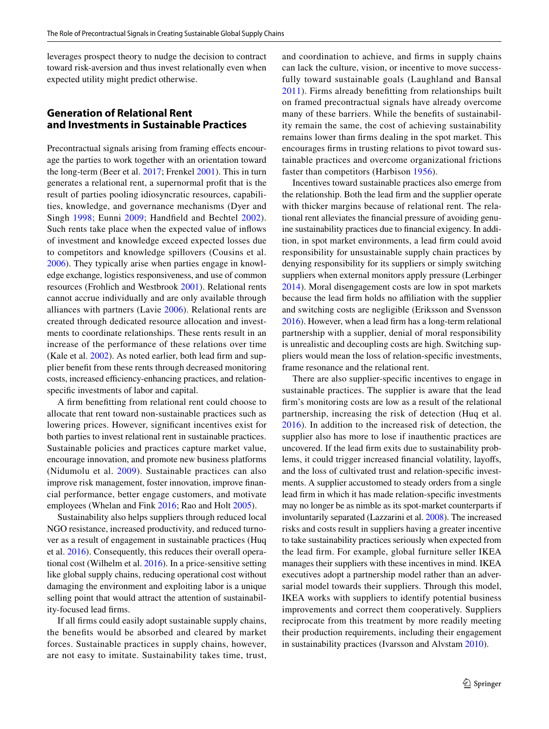leverages prospect theory to nudge the decision to contract toward risk-aversion and thus invest relationally even when expected utility might predict otherwise.

#### **Generation of Relational Rent and Investments in Sustainable Practices**

Precontractual signals arising from framing effects encourage the parties to work together with an orientation toward the long-term (Beer et al. [2017](#page-11-4); Frenkel [2001\)](#page-12-23). This in turn generates a relational rent, a supernormal profit that is the result of parties pooling idiosyncratic resources, capabilities, knowledge, and governance mechanisms (Dyer and Singh [1998](#page-11-30); Eunni [2009](#page-12-24); Handfield and Bechtel [2002](#page-12-25)). Such rents take place when the expected value of inflows of investment and knowledge exceed expected losses due to competitors and knowledge spillovers (Cousins et al. [2006](#page-11-31)). They typically arise when parties engage in knowledge exchange, logistics responsiveness, and use of common resources (Frohlich and Westbrook [2001](#page-12-26)). Relational rents cannot accrue individually and are only available through alliances with partners (Lavie [2006\)](#page-12-27). Relational rents are created through dedicated resource allocation and investments to coordinate relationships. These rents result in an increase of the performance of these relations over time (Kale et al. [2002](#page-12-28)). As noted earlier, both lead firm and supplier benefit from these rents through decreased monitoring costs, increased efficiency-enhancing practices, and relationspecific investments of labor and capital.

A firm benefitting from relational rent could choose to allocate that rent toward non-sustainable practices such as lowering prices. However, significant incentives exist for both parties to invest relational rent in sustainable practices. Sustainable policies and practices capture market value, encourage innovation, and promote new business platforms (Nidumolu et al. [2009](#page-13-32)). Sustainable practices can also improve risk management, foster innovation, improve financial performance, better engage customers, and motivate employees (Whelan and Fink [2016;](#page-14-18) Rao and Holt [2005](#page-13-2)).

Sustainability also helps suppliers through reduced local NGO resistance, increased productivity, and reduced turnover as a result of engagement in sustainable practices (Huq et al. [2016](#page-12-12)). Consequently, this reduces their overall operational cost (Wilhelm et al. [2016](#page-14-5)). In a price-sensitive setting like global supply chains, reducing operational cost without damaging the environment and exploiting labor is a unique selling point that would attract the attention of sustainability-focused lead firms.

If all firms could easily adopt sustainable supply chains, the benefits would be absorbed and cleared by market forces. Sustainable practices in supply chains, however, are not easy to imitate. Sustainability takes time, trust,

and coordination to achieve, and firms in supply chains can lack the culture, vision, or incentive to move successfully toward sustainable goals (Laughland and Bansal [2011\)](#page-12-29). Firms already benefitting from relationships built on framed precontractual signals have already overcome many of these barriers. While the benefits of sustainability remain the same, the cost of achieving sustainability remains lower than firms dealing in the spot market. This encourages firms in trusting relations to pivot toward sustainable practices and overcome organizational frictions faster than competitors (Harbison [1956](#page-12-30)).

Incentives toward sustainable practices also emerge from the relationship. Both the lead firm and the supplier operate with thicker margins because of relational rent. The relational rent alleviates the financial pressure of avoiding genuine sustainability practices due to financial exigency. In addition, in spot market environments, a lead firm could avoid responsibility for unsustainable supply chain practices by denying responsibility for its suppliers or simply switching suppliers when external monitors apply pressure (Lerbinger [2014](#page-12-31)). Moral disengagement costs are low in spot markets because the lead firm holds no affiliation with the supplier and switching costs are negligible (Eriksson and Svensson [2016](#page-11-32)). However, when a lead firm has a long-term relational partnership with a supplier, denial of moral responsibility is unrealistic and decoupling costs are high. Switching suppliers would mean the loss of relation-specific investments, frame resonance and the relational rent.

There are also supplier-specific incentives to engage in sustainable practices. The supplier is aware that the lead firm's monitoring costs are low as a result of the relational partnership, increasing the risk of detection (Huq et al. [2016\)](#page-12-12). In addition to the increased risk of detection, the supplier also has more to lose if inauthentic practices are uncovered. If the lead firm exits due to sustainability problems, it could trigger increased financial volatility, layoffs, and the loss of cultivated trust and relation-specific investments. A supplier accustomed to steady orders from a single lead firm in which it has made relation-specific investments may no longer be as nimble as its spot-market counterparts if involuntarily separated (Lazzarini et al. [2008\)](#page-12-32). The increased risks and costs result in suppliers having a greater incentive to take sustainability practices seriously when expected from the lead firm. For example, global furniture seller IKEA manages their suppliers with these incentives in mind. IKEA executives adopt a partnership model rather than an adversarial model towards their suppliers. Through this model, IKEA works with suppliers to identify potential business improvements and correct them cooperatively. Suppliers reciprocate from this treatment by more readily meeting their production requirements, including their engagement in sustainability practices (Ivarsson and Alvstam [2010\)](#page-12-33).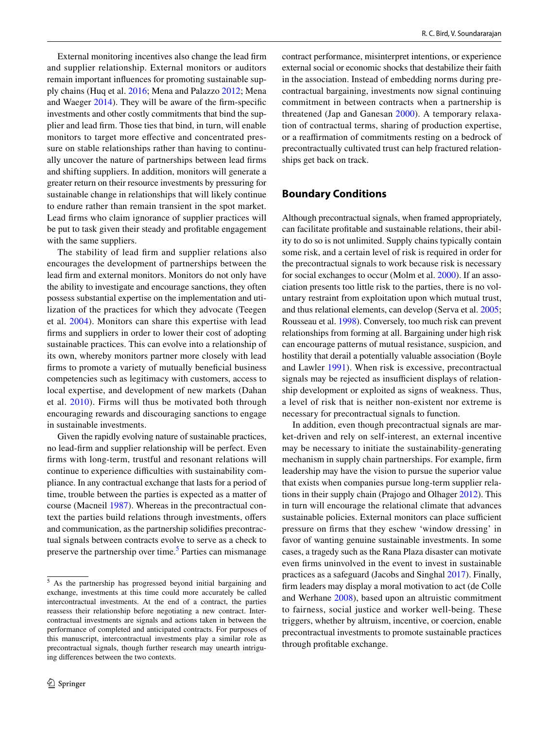External monitoring incentives also change the lead firm and supplier relationship. External monitors or auditors remain important influences for promoting sustainable supply chains (Huq et al. [2016](#page-12-12); Mena and Palazzo [2012;](#page-13-16) Mena and Waeger [2014](#page-13-14)). They will be aware of the firm-specific investments and other costly commitments that bind the supplier and lead firm. Those ties that bind, in turn, will enable monitors to target more effective and concentrated pressure on stable relationships rather than having to continually uncover the nature of partnerships between lead firms and shifting suppliers. In addition, monitors will generate a greater return on their resource investments by pressuring for sustainable change in relationships that will likely continue to endure rather than remain transient in the spot market. Lead firms who claim ignorance of supplier practices will be put to task given their steady and profitable engagement with the same suppliers.

The stability of lead firm and supplier relations also encourages the development of partnerships between the lead firm and external monitors. Monitors do not only have the ability to investigate and encourage sanctions, they often possess substantial expertise on the implementation and utilization of the practices for which they advocate (Teegen et al. [2004](#page-14-19)). Monitors can share this expertise with lead firms and suppliers in order to lower their cost of adopting sustainable practices. This can evolve into a relationship of its own, whereby monitors partner more closely with lead firms to promote a variety of mutually beneficial business competencies such as legitimacy with customers, access to local expertise, and development of new markets (Dahan et al. [2010\)](#page-11-33). Firms will thus be motivated both through encouraging rewards and discouraging sanctions to engage in sustainable investments.

Given the rapidly evolving nature of sustainable practices, no lead-firm and supplier relationship will be perfect. Even firms with long-term, trustful and resonant relations will continue to experience difficulties with sustainability compliance. In any contractual exchange that lasts for a period of time, trouble between the parties is expected as a matter of course (Macneil [1987](#page-13-26)). Whereas in the precontractual context the parties build relations through investments, offers and communication, as the partnership solidifies precontractual signals between contracts evolve to serve as a check to preserve the partnership over time.<sup>[5](#page-8-0)</sup> Parties can mismanage contract performance, misinterpret intentions, or experience external social or economic shocks that destabilize their faith in the association. Instead of embedding norms during precontractual bargaining, investments now signal continuing commitment in between contracts when a partnership is threatened (Jap and Ganesan [2000](#page-12-34)). A temporary relaxation of contractual terms, sharing of production expertise, or a reaffirmation of commitments resting on a bedrock of precontractually cultivated trust can help fractured relationships get back on track.

#### **Boundary Conditions**

Although precontractual signals, when framed appropriately, can facilitate profitable and sustainable relations, their ability to do so is not unlimited. Supply chains typically contain some risk, and a certain level of risk is required in order for the precontractual signals to work because risk is necessary for social exchanges to occur (Molm et al. [2000\)](#page-13-33). If an association presents too little risk to the parties, there is no voluntary restraint from exploitation upon which mutual trust, and thus relational elements, can develop (Serva et al. [2005](#page-14-20); Rousseau et al. [1998\)](#page-13-34). Conversely, too much risk can prevent relationships from forming at all. Bargaining under high risk can encourage patterns of mutual resistance, suspicion, and hostility that derail a potentially valuable association (Boyle and Lawler [1991\)](#page-11-34). When risk is excessive, precontractual signals may be rejected as insufficient displays of relationship development or exploited as signs of weakness. Thus, a level of risk that is neither non-existent nor extreme is necessary for precontractual signals to function.

In addition, even though precontractual signals are market-driven and rely on self-interest, an external incentive may be necessary to initiate the sustainability-generating mechanism in supply chain partnerships. For example, firm leadership may have the vision to pursue the superior value that exists when companies pursue long-term supplier relations in their supply chain (Prajogo and Olhager [2012](#page-13-35)). This in turn will encourage the relational climate that advances sustainable policies. External monitors can place sufficient pressure on firms that they eschew 'window dressing' in favor of wanting genuine sustainable investments. In some cases, a tragedy such as the Rana Plaza disaster can motivate even firms uninvolved in the event to invest in sustainable practices as a safeguard (Jacobs and Singhal [2017\)](#page-12-35). Finally, firm leaders may display a moral motivation to act (de Colle and Werhane [2008](#page-11-35)), based upon an altruistic commitment to fairness, social justice and worker well-being. These triggers, whether by altruism, incentive, or coercion, enable precontractual investments to promote sustainable practices through profitable exchange.

<span id="page-8-0"></span><sup>5</sup> As the partnership has progressed beyond initial bargaining and exchange, investments at this time could more accurately be called intercontractual investments. At the end of a contract, the parties reassess their relationship before negotiating a new contract. Intercontractual investments are signals and actions taken in between the performance of completed and anticipated contracts. For purposes of this manuscript, intercontractual investments play a similar role as precontractual signals, though further research may unearth intriguing differences between the two contexts.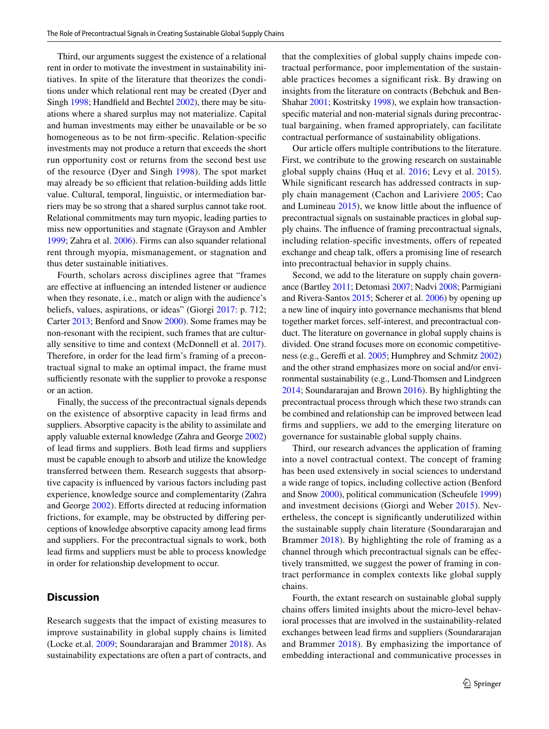Third, our arguments suggest the existence of a relational rent in order to motivate the investment in sustainability initiatives. In spite of the literature that theorizes the conditions under which relational rent may be created (Dyer and Singh [1998](#page-11-30); Handfield and Bechtel [2002\)](#page-12-25), there may be situations where a shared surplus may not materialize. Capital and human investments may either be unavailable or be so homogeneous as to be not firm-specific. Relation-specific investments may not produce a return that exceeds the short run opportunity cost or returns from the second best use of the resource (Dyer and Singh [1998](#page-11-30)). The spot market may already be so efficient that relation-building adds little value. Cultural, temporal, linguistic, or intermediation barriers may be so strong that a shared surplus cannot take root. Relational commitments may turn myopic, leading parties to miss new opportunities and stagnate (Grayson and Ambler [1999](#page-12-36); Zahra et al. [2006\)](#page-14-21). Firms can also squander relational rent through myopia, mismanagement, or stagnation and thus deter sustainable initiatives.

Fourth, scholars across disciplines agree that "frames are effective at influencing an intended listener or audience when they resonate, i.e., match or align with the audience's beliefs, values, aspirations, or ideas" (Giorgi [2017](#page-12-37): p. 712; Carter [2013](#page-11-36); Benford and Snow [2000\)](#page-11-37). Some frames may be non-resonant with the recipient, such frames that are culturally sensitive to time and context (McDonnell et al. [2017](#page-13-36)). Therefore, in order for the lead firm's framing of a precontractual signal to make an optimal impact, the frame must sufficiently resonate with the supplier to provoke a response or an action.

Finally, the success of the precontractual signals depends on the existence of absorptive capacity in lead firms and suppliers. Absorptive capacity is the ability to assimilate and apply valuable external knowledge (Zahra and George [2002\)](#page-14-22) of lead firms and suppliers. Both lead firms and suppliers must be capable enough to absorb and utilize the knowledge transferred between them. Research suggests that absorptive capacity is influenced by various factors including past experience, knowledge source and complementarity (Zahra and George [2002](#page-14-22)). Efforts directed at reducing information frictions, for example, may be obstructed by differing perceptions of knowledge absorptive capacity among lead firms and suppliers. For the precontractual signals to work, both lead firms and suppliers must be able to process knowledge in order for relationship development to occur.

#### **Discussion**

Research suggests that the impact of existing measures to improve sustainability in global supply chains is limited (Locke et.al. [2009;](#page-13-15) Soundararajan and Brammer [2018](#page-14-3)). As sustainability expectations are often a part of contracts, and that the complexities of global supply chains impede contractual performance, poor implementation of the sustainable practices becomes a significant risk. By drawing on insights from the literature on contracts (Bebchuk and Ben-Shahar [2001](#page-11-3); Kostritsky [1998\)](#page-12-4), we explain how transactionspecific material and non-material signals during precontractual bargaining, when framed appropriately, can facilitate contractual performance of sustainability obligations.

Our article offers multiple contributions to the literature. First, we contribute to the growing research on sustainable global supply chains (Huq et al. [2016;](#page-12-12) Levy et al. [2015](#page-13-0)). While significant research has addressed contracts in supply chain management (Cachon and Lariviere [2005;](#page-11-13) Cao and Lumineau [2015](#page-11-14)), we know little about the influence of precontractual signals on sustainable practices in global supply chains. The influence of framing precontractual signals, including relation-specific investments, offers of repeated exchange and cheap talk, offers a promising line of research into precontractual behavior in supply chains.

Second, we add to the literature on supply chain governance (Bartley [2011;](#page-11-38) Detomasi [2007](#page-11-39); Nadvi [2008](#page-13-37); Parmigiani and Rivera-Santos [2015](#page-13-38); Scherer et al. [2006\)](#page-13-39) by opening up a new line of inquiry into governance mechanisms that blend together market forces, self-interest, and precontractual conduct. The literature on governance in global supply chains is divided. One strand focuses more on economic competitiveness (e.g., Gereffi et al. [2005;](#page-12-7) Humphrey and Schmitz [2002\)](#page-12-38) and the other strand emphasizes more on social and/or environmental sustainability (e.g., Lund-Thomsen and Lindgreen [2014](#page-13-40); Soundararajan and Brown [2016\)](#page-14-7). By highlighting the precontractual process through which these two strands can be combined and relationship can be improved between lead firms and suppliers, we add to the emerging literature on governance for sustainable global supply chains.

Third, our research advances the application of framing into a novel contractual context. The concept of framing has been used extensively in social sciences to understand a wide range of topics, including collective action (Benford and Snow [2000\)](#page-11-37), political communication (Scheufele [1999\)](#page-13-41) and investment decisions (Giorgi and Weber [2015](#page-12-5)). Nevertheless, the concept is significantly underutilized within the sustainable supply chain literature (Soundararajan and Brammer [2018](#page-14-3)). By highlighting the role of framing as a channel through which precontractual signals can be effectively transmitted, we suggest the power of framing in contract performance in complex contexts like global supply chains.

Fourth, the extant research on sustainable global supply chains offers limited insights about the micro-level behavioral processes that are involved in the sustainability-related exchanges between lead firms and suppliers (Soundararajan and Brammer [2018\)](#page-14-3). By emphasizing the importance of embedding interactional and communicative processes in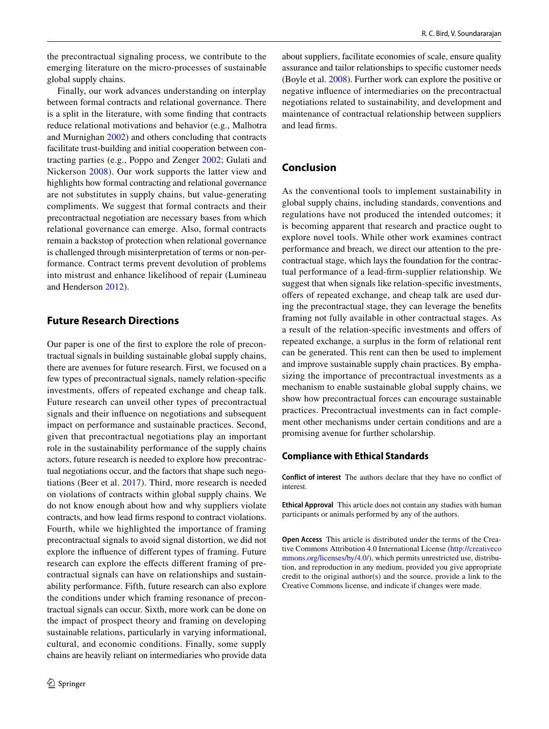the precontractual signaling process, we contribute to the emerging literature on the micro-processes of sustainable global supply chains.

Finally, our work advances understanding on interplay between formal contracts and relational governance. There is a split in the literature, with some finding that contracts reduce relational motivations and behavior (e.g., Malhotra and Murnighan [2002](#page-13-42)) and others concluding that contracts facilitate trust-building and initial cooperation between contracting parties (e.g., Poppo and Zenger [2002;](#page-13-7) Gulati and Nickerson [2008\)](#page-12-39). Our work supports the latter view and highlights how formal contracting and relational governance are not substitutes in supply chains, but value-generating compliments. We suggest that formal contracts and their precontractual negotiation are necessary bases from which relational governance can emerge. Also, formal contracts remain a backstop of protection when relational governance is challenged through misinterpretation of terms or non-performance. Contract terms prevent devolution of problems into mistrust and enhance likelihood of repair (Lumineau and Henderson [2012](#page-13-4)).

#### **Future Research Directions**

Our paper is one of the first to explore the role of precontractual signals in building sustainable global supply chains, there are avenues for future research. First, we focused on a few types of precontractual signals, namely relation-specific investments, offers of repeated exchange and cheap talk. Future research can unveil other types of precontractual signals and their influence on negotiations and subsequent impact on performance and sustainable practices. Second, given that precontractual negotiations play an important role in the sustainability performance of the supply chains actors, future research is needed to explore how precontractual negotiations occur, and the factors that shape such negotiations (Beer et al. [2017](#page-11-4)). Third, more research is needed on violations of contracts within global supply chains. We do not know enough about how and why suppliers violate contracts, and how lead firms respond to contract violations. Fourth, while we highlighted the importance of framing precontractual signals to avoid signal distortion, we did not explore the influence of different types of framing. Future research can explore the effects different framing of precontractual signals can have on relationships and sustainability performance. Fifth, future research can also explore the conditions under which framing resonance of precontractual signals can occur. Sixth, more work can be done on the impact of prospect theory and framing on developing sustainable relations, particularly in varying informational, cultural, and economic conditions. Finally, some supply chains are heavily reliant on intermediaries who provide data about suppliers, facilitate economies of scale, ensure quality assurance and tailor relationships to specific customer needs (Boyle et al. [2008\)](#page-11-40). Further work can explore the positive or negative influence of intermediaries on the precontractual negotiations related to sustainability, and development and maintenance of contractual relationship between suppliers and lead firms.

#### **Conclusion**

As the conventional tools to implement sustainability in global supply chains, including standards, conventions and regulations have not produced the intended outcomes; it is becoming apparent that research and practice ought to explore novel tools. While other work examines contract performance and breach, we direct our attention to the precontractual stage, which lays the foundation for the contractual performance of a lead-firm-supplier relationship. We suggest that when signals like relation-specific investments, offers of repeated exchange, and cheap talk are used during the precontractual stage, they can leverage the benefits framing not fully available in other contractual stages. As a result of the relation-specific investments and offers of repeated exchange, a surplus in the form of relational rent can be generated. This rent can then be used to implement and improve sustainable supply chain practices. By emphasizing the importance of precontractual investments as a mechanism to enable sustainable global supply chains, we show how precontractual forces can encourage sustainable practices. Precontractual investments can in fact complement other mechanisms under certain conditions and are a promising avenue for further scholarship.

#### **Compliance with Ethical Standards**

**Conflict of interest** The authors declare that they have no conflict of interest.

**Ethical Approval** This article does not contain any studies with human participants or animals performed by any of the authors.

**Open Access** This article is distributed under the terms of the Creative Commons Attribution 4.0 International License ([http://creativeco](http://creativecommons.org/licenses/by/4.0/) [mmons.org/licenses/by/4.0/](http://creativecommons.org/licenses/by/4.0/)), which permits unrestricted use, distribution, and reproduction in any medium, provided you give appropriate credit to the original author(s) and the source, provide a link to the Creative Commons license, and indicate if changes were made.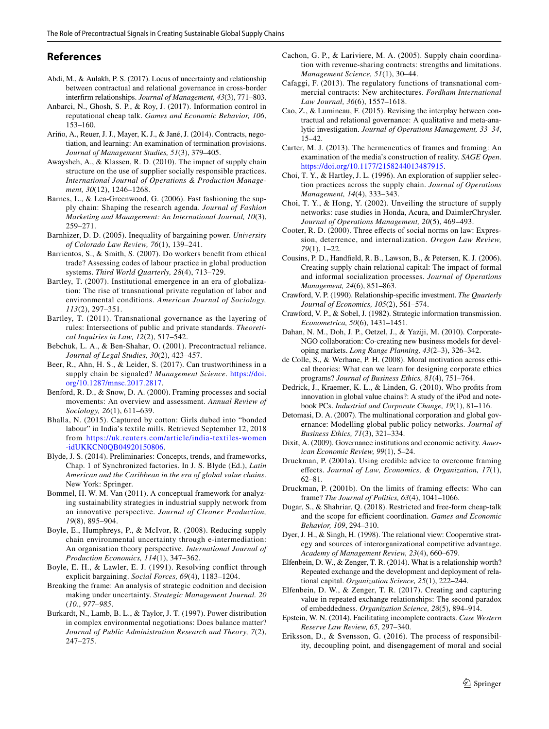#### **References**

- <span id="page-11-26"></span>Abdi, M., & Aulakh, P. S. (2017). Locus of uncertainty and relationship between contractual and relational governance in cross-border interfirm relationships. *Journal of Management, 43*(3), 771–803.
- <span id="page-11-23"></span>Anbarci, N., Ghosh, S. P., & Roy, J. (2017). Information control in reputational cheap talk. *Games and Economic Behavior, 106*, 153–160.
- <span id="page-11-11"></span>Ariño, A., Reuer, J. J., Mayer, K. J., & Jané, J. (2014). Contracts, negotiation, and learning: An examination of termination provisions. *Journal of Management Studies, 51*(3), 379–405.
- <span id="page-11-9"></span>Awaysheh, A., & Klassen, R. D. (2010). The impact of supply chain structure on the use of supplier socially responsible practices. *International Journal of Operations & Production Management, 30*(12), 1246–1268.
- <span id="page-11-29"></span>Barnes, L., & Lea-Greenwood, G. (2006). Fast fashioning the supply chain: Shaping the research agenda. *Journal of Fashion Marketing and Management: An International Journal, 10*(3), 259–271.
- <span id="page-11-16"></span>Barnhizer, D. D. (2005). Inequality of bargaining power. *University of Colorado Law Review, 76*(1), 139–241.
- <span id="page-11-6"></span>Barrientos, S., & Smith, S. (2007). Do workers benefit from ethical trade? Assessing codes of labour practice in global production systems. *Third World Quarterly, 28*(4), 713–729.
- <span id="page-11-8"></span>Bartley, T. (2007). Institutional emergence in an era of globalization: The rise of transnational private regulation of labor and environmental conditions. *American Journal of Sociology, 113*(2), 297–351.
- <span id="page-11-38"></span>Bartley, T. (2011). Transnational governance as the layering of rules: Intersections of public and private standards. *Theoretical Inquiries in Law, 12*(2), 517–542.
- <span id="page-11-3"></span>Bebchuk, L. A., & Ben-Shahar, O. (2001). Precontractual reliance. *Journal of Legal Studies, 30*(2), 423–457.
- <span id="page-11-4"></span>Beer, R., Ahn, H. S., & Leider, S. (2017). Can trustworthiness in a supply chain be signaled? *Management Science*. [https://doi.](https://doi.org/10.1287/mnsc.2017.2817) [org/10.1287/mnsc.2017.2817](https://doi.org/10.1287/mnsc.2017.2817).
- <span id="page-11-37"></span>Benford, R. D., & Snow, D. A. (2000). Framing processes and social movements: An overview and assessment. *Annual Review of Sociology, 26*(1), 611–639.
- <span id="page-11-7"></span>Bhalla, N. (2015). Captured by cotton: Girls dubed into "bonded labour" in India's textile mills. Retrieved September 12, 2018 from [https://uk.reuters.com/article/india-textiles-women](https://uk.reuters.com/article/india-textiles-women-idUKKCN0QB04920150806) [-idUKKCN0QB04920150806](https://uk.reuters.com/article/india-textiles-women-idUKKCN0QB04920150806).
- <span id="page-11-10"></span>Blyde, J. S. (2014). Preliminaries: Concepts, trends, and frameworks, Chap. 1 of Synchronized factories. In J. S. Blyde (Ed.), *Latin American and the Caribbean in the era of global value chains*. New York: Springer.
- <span id="page-11-0"></span>Bommel, H. W. M. Van (2011). A conceptual framework for analyzing sustainability strategies in industrial supply network from an innovative perspective. *Journal of Cleaner Production, 19*(8), 895–904.
- <span id="page-11-40"></span>Boyle, E., Humphreys, P., & McIvor, R. (2008). Reducing supply chain environmental uncertainty through e-intermediation: An organisation theory perspective. *International Journal of Production Economics, 114*(1), 347–362.
- <span id="page-11-34"></span>Boyle, E. H., & Lawler, E. J. (1991). Resolving conflict through explicit bargaining. *Social Forces, 69*(4), 1183–1204.
- Breaking the frame: An analysis of strategic codnition and decision making under uncertainty. *Strategic Management Journal. 20* (*10*., *977–985*.
- <span id="page-11-17"></span>Burkardt, N., Lamb, B. L., & Taylor, J. T. (1997). Power distribution in complex environmental negotiations: Does balance matter? *Journal of Public Administration Research and Theory, 7*(2), 247–275.
- <span id="page-11-13"></span>Cachon, G. P., & Lariviere, M. A. (2005). Supply chain coordination with revenue-sharing contracts: strengths and limitations. *Management Science, 51*(1), 30–44.
- <span id="page-11-2"></span>Cafaggi, F. (2013). The regulatory functions of transnational commercial contracts: New architectures. *Fordham International Law Journal, 36*(6), 1557–1618.
- <span id="page-11-14"></span>Cao, Z., & Lumineau, F. (2015). Revising the interplay between contractual and relational governance: A qualitative and meta-analytic investigation. *Journal of Operations Management, 33–34*, 15–42.
- <span id="page-11-36"></span>Carter, M. J. (2013). The hermeneutics of frames and framing: An examination of the media's construction of reality. *SAGE Open*. <https://doi.org/10.1177/2158244013487915>.
- <span id="page-11-5"></span>Choi, T. Y., & Hartley, J. L. (1996). An exploration of supplier selection practices across the supply chain. *Journal of Operations Management, 14*(4), 333–343.
- <span id="page-11-21"></span>Choi, T. Y., & Hong, Y. (2002). Unveiling the structure of supply networks: case studies in Honda, Acura, and DaimlerChrysler. *Journal of Operations Management, 20*(5), 469–493.
- <span id="page-11-25"></span>Cooter, R. D. (2000). Three effects of social norms on law: Expression, deterrence, and internalization. *Oregon Law Review, 79*(1), 1–22.
- <span id="page-11-31"></span>Cousins, P. D., Handfield, R. B., Lawson, B., & Petersen, K. J. (2006). Creating supply chain relational capital: The impact of formal and informal socialization processes. *Journal of Operations Management, 24*(6), 851–863.
- <span id="page-11-18"></span>Crawford, V. P. (1990). Relationship-specific investment. *The Quarterly Journal of Economics, 105*(2), 561–574.
- <span id="page-11-24"></span>Crawford, V. P., & Sobel, J. (1982). Strategic information transmission. *Econometrica, 50*(6), 1431–1451.
- <span id="page-11-33"></span>Dahan, N. M., Doh, J. P., Oetzel, J., & Yaziji, M. (2010). Corporate-NGO collaboration: Co-creating new business models for developing markets. *Long Range Planning, 43*(2–3), 326–342.
- <span id="page-11-35"></span>de Colle, S., & Werhane, P. H. (2008). Moral motivation across ethical theories: What can we learn for designing corporate ethics programs? *Journal of Business Ethics, 81*(4), 751–764.
- <span id="page-11-15"></span>Dedrick, J., Kraemer, K. L., & Linden, G. (2010). Who profits from innovation in global value chains?: A study of the iPod and notebook PCs. *Industrial and Corporate Change, 19*(1), 81–116.
- <span id="page-11-39"></span>Detomasi, D. A. (2007). The multinational corporation and global governance: Modelling global public policy networks. *Journal of Business Ethics, 71*(3), 321–334.
- <span id="page-11-1"></span>Dixit, A. (2009). Governance institutions and economic activity. *American Economic Review, 99*(1), 5–24.
- <span id="page-11-27"></span>Druckman, P. (2001a). Using credible advice to overcome framing effects. *Journal of Law, Economics, & Organization, 17*(1), 62–81.
- <span id="page-11-28"></span>Druckman, P. (2001b). On the limits of framing effects: Who can frame? *The Journal of Politics, 63*(4), 1041–1066.
- <span id="page-11-22"></span>Dugar, S., & Shahriar, Q. (2018). Restricted and free-form cheap-talk and the scope for efficient coordination. *Games and Economic Behavior, 109*, 294–310.
- <span id="page-11-30"></span>Dyer, J. H., & Singh, H. (1998). The relational view: Cooperative strategy and sources of interorganizational competitive advantage. *Academy of Management Review, 23*(4), 660–679.
- <span id="page-11-19"></span>Elfenbein, D. W., & Zenger, T. R. (2014). What is a relationship worth? Repeated exchange and the development and deployment of relational capital. *Organization Science, 25*(1), 222–244.
- <span id="page-11-20"></span>Elfenbein, D. W., & Zenger, T. R. (2017). Creating and capturing value in repeated exchange relationships: The second paradox of embeddedness. *Organization Science, 28*(5), 894–914.
- <span id="page-11-12"></span>Epstein, W. N. (2014). Facilitating incomplete contracts. *Case Western Reserve Law Review, 65*, 297–340.
- <span id="page-11-32"></span>Eriksson, D., & Svensson, G. (2016). The process of responsibility, decoupling point, and disengagement of moral and social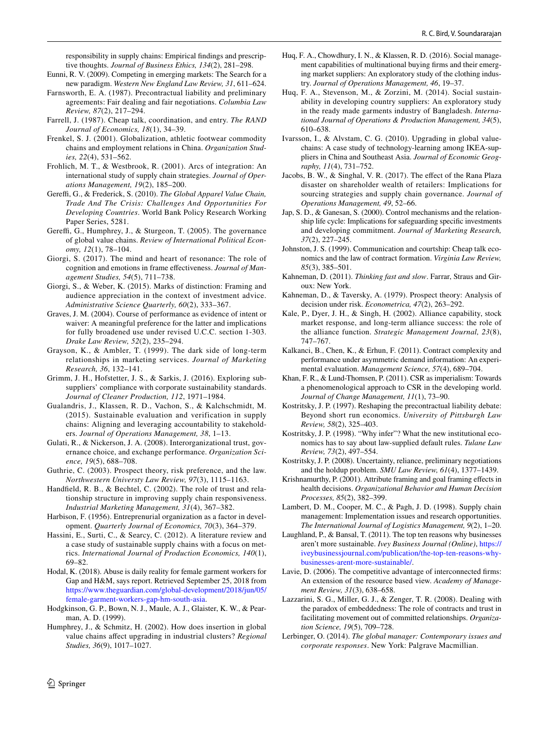responsibility in supply chains: Empirical findings and prescriptive thoughts. *Journal of Business Ethics, 134*(2), 281–298.

- <span id="page-12-24"></span>Eunni, R. V. (2009). Competing in emerging markets: The Search for a new paradigm. *Western New England Law Review, 31*, 611–624.
- <span id="page-12-14"></span>Farnsworth, E. A. (1987). Precontractual liability and preliminary agreements: Fair dealing and fair negotiations. *Columbia Law Review, 87*(2), 217–294.
- <span id="page-12-17"></span>Farrell, J. (1987). Cheap talk, coordination, and entry. *The RAND Journal of Economics, 18*(1), 34–39.
- <span id="page-12-23"></span>Frenkel, S. J. (2001). Globalization, athletic footwear commodity chains and employment relations in China. *Organization Studies, 22*(4), 531–562.
- <span id="page-12-26"></span>Frohlich, M. T., & Westbrook, R. (2001). Arcs of integration: An international study of supply chain strategies. *Journal of Operations Management, 19*(2), 185–200.
- <span id="page-12-8"></span>Gereffi, G., & Frederick, S. (2010). *The Global Apparel Value Chain, Trade And The Crisis: Challenges And Opportunities For Developing Countries*. World Bank Policy Research Working Paper Series, 5281.
- <span id="page-12-7"></span>Gereffi, G., Humphrey, J., & Sturgeon, T. (2005). The governance of global value chains. *Review of International Political Economy, 12*(1), 78–104.
- <span id="page-12-37"></span>Giorgi, S. (2017). The mind and heart of resonance: The role of cognition and emotions in frame effectiveness. *Journal of Management Studies, 54*(5), 711–738.
- <span id="page-12-5"></span>Giorgi, S., & Weber, K. (2015). Marks of distinction: Framing and audience appreciation in the context of investment advice. *Administrative Science Quarterly, 60*(2), 333–367.
- <span id="page-12-16"></span>Graves, J. M. (2004). Course of performance as evidence of intent or waiver: A meaningful preference for the latter and implications for fully broadened use under revised U.C.C. section 1-303. *Drake Law Review, 52*(2), 235–294.
- <span id="page-12-36"></span>Grayson, K., & Ambler, T. (1999). The dark side of long-term relationships in marketing services. *Journal of Marketing Research, 36*, 132–141.
- <span id="page-12-1"></span>Grimm, J. H., Hofstetter, J. S., & Sarkis, J. (2016). Exploring subsuppliers' compliance with corporate sustainability standards. *Journal of Cleaner Production, 112*, 1971–1984.
- <span id="page-12-10"></span>Gualandris, J., Klassen, R. D., Vachon, S., & Kalchschmidt, M. (2015). Sustainable evaluation and verification in supply chains: Aligning and leveraging accountability to stakeholders. *Journal of Operations Management, 38*, 1–13.
- <span id="page-12-39"></span>Gulati, R., & Nickerson, J. A. (2008). Interorganizational trust, governance choice, and exchange performance. *Organization Science, 19*(5), 688–708.
- <span id="page-12-22"></span>Guthrie, C. (2003). Prospect theory, risk preference, and the law. *Northwestern Universty Law Review, 97*(3), 1115–1163.
- <span id="page-12-25"></span>Handfield, R. B., & Bechtel, C. (2002). The role of trust and relationship structure in improving supply chain responsiveness. *Industrial Marketing Management, 31*(4), 367–382.
- <span id="page-12-30"></span>Harbison, F. (1956). Entreprenurial organization as a factor in development. *Quarterly Journal of Economics, 70*(3), 364–379.
- <span id="page-12-0"></span>Hassini, E., Surti, C., & Searcy, C. (2012). A literature review and a case study of sustainable supply chains with a focus on metrics. *International Journal of Production Economics, 140*(1), 69–82.
- <span id="page-12-9"></span>Hodal, K. (2018). Abuse is daily reality for female garment workers for Gap and H&M, says report. Retrieved September 25, 2018 from [https://www.theguardian.com/global-development/2018/jun/05/](https://www.theguardian.com/global-development/2018/jun/05/female-garment-workers-gap-hm-south-asia) [female-garment-workers-gap-hm-south-asia.](https://www.theguardian.com/global-development/2018/jun/05/female-garment-workers-gap-hm-south-asia)
- <span id="page-12-19"></span>Hodgkinson, G. P., Bown, N. J., Maule, A. J., Glaister, K. W., & Pearman, A. D. (1999).
- <span id="page-12-38"></span>Humphrey, J., & Schmitz, H. (2002). How does insertion in global value chains affect upgrading in industrial clusters? *Regional Studies, 36*(9), 1017–1027.
- <span id="page-12-12"></span>Huq, F. A., Chowdhury, I. N., & Klassen, R. D. (2016). Social management capabilities of multinational buying firms and their emerging market suppliers: An exploratory study of the clothing industry. *Journal of Operations Management, 46*, 19–37.
- Huq, F. A., Stevenson, M., & Zorzini, M. (2014). Social sustainability in developing country suppliers: An exploratory study in the ready made garments industry of Bangladesh. *International Journal of Operations & Production Management, 34*(5), 610–638.
- <span id="page-12-33"></span>Ivarsson, I., & Alvstam, C. G. (2010). Upgrading in global valuechains: A case study of technology-learning among IKEA-suppliers in China and Southeast Asia. *Journal of Economic Geography, 11*(4), 731–752.
- <span id="page-12-35"></span>Jacobs, B. W., & Singhal, V. R. (2017). The effect of the Rana Plaza disaster on shareholder wealth of retailers: Implications for sourcing strategies and supply chain governance. *Journal of Operations Management, 49*, 52–66.
- <span id="page-12-34"></span>Jap, S. D., & Ganesan, S. (2000). Control mechanisms and the relationship life cycle: Implications for safeguarding specific investments and developing commitment. *Journal of Marketing Research, 37*(2), 227–245.
- <span id="page-12-13"></span>Johnston, J. S. (1999). Communication and courtship: Cheap talk economics and the law of contract formation. *Virginia Law Review, 85*(3), 385–501.
- <span id="page-12-20"></span>Kahneman, D. (2011). *Thinking fast and slow*. Farrar, Straus and Giroux: New York.
- <span id="page-12-21"></span>Kahneman, D., & Taversky, A. (1979). Prospect theory: Analysis of decision under risk. *Econometrica, 47*(2), 263–292.
- <span id="page-12-28"></span>Kale, P., Dyer, J. H., & Singh, H. (2002). Alliance capability, stock market response, and long-term alliance success: the role of the alliance function. *Strategic Management Journal, 23*(8), 747–767.
- <span id="page-12-2"></span>Kalkanci, B., Chen, K., & Erhun, F. (2011). Contract complexity and performance under asymmetric demand information: An experimental evaluation. *Management Science, 57*(4), 689–704.
- <span id="page-12-11"></span>Khan, F. R., & Lund-Thomsen, P. (2011). CSR as imperialism: Towards a phenomenological approach to CSR in the developing world. *Journal of Change Management, 11*(1), 73–90.
- <span id="page-12-3"></span>Kostritsky, J. P. (1997). Reshaping the precontractual liability debate: Beyond short run economics. *University of Pittsburgh Law Review, 58*(2), 325–403.
- <span id="page-12-4"></span>Kostritsky, J. P. (1998). "Why infer"? What the new institutional economics has to say about law-supplied default rules. *Tulane Law Review, 73*(2), 497–554.
- <span id="page-12-15"></span>Kostritsky, J. P. (2008). Uncertainty, reliance, preliminary negotiations and the holdup problem. *SMU Law Review, 61*(4), 1377–1439.
- <span id="page-12-18"></span>Krishnamurthy, P. (2001). Attribute framing and goal framing effects in health decisions. *Organizational Behavior and Human Decision Processes, 85*(2), 382–399.
- <span id="page-12-6"></span>Lambert, D. M., Cooper, M. C., & Pagh, J. D. (1998). Supply chain management: Implementation issues and research opportunities. *The International Journal of Logistics Management, 9*(2), 1–20.
- <span id="page-12-29"></span>Laughland, P., & Bansal, T. (2011). The top ten reasons why businesses aren't more sustainable. *Ivey Business Journal (Online)*, [https://](https://iveybusinessjournal.com/publication/the-top-ten-reasons-why-businesses-arent-more-sustainable/) [iveybusinessjournal.com/publication/the-top-ten-reasons-why](https://iveybusinessjournal.com/publication/the-top-ten-reasons-why-businesses-arent-more-sustainable/)[businesses-arent-more-sustainable/](https://iveybusinessjournal.com/publication/the-top-ten-reasons-why-businesses-arent-more-sustainable/).
- <span id="page-12-27"></span>Lavie, D. (2006). The competitive advantage of interconnected firms: An extension of the resource based view. *Academy of Management Review, 31*(3), 638–658.
- <span id="page-12-32"></span>Lazzarini, S. G., Miller, G. J., & Zenger, T. R. (2008). Dealing with the paradox of embeddedness: The role of contracts and trust in facilitating movement out of committed relationships. *Organization Science, 19*(5), 709–728.
- <span id="page-12-31"></span>Lerbinger, O. (2014). *The global manager: Contemporary issues and corporate responses*. New York: Palgrave Macmillian.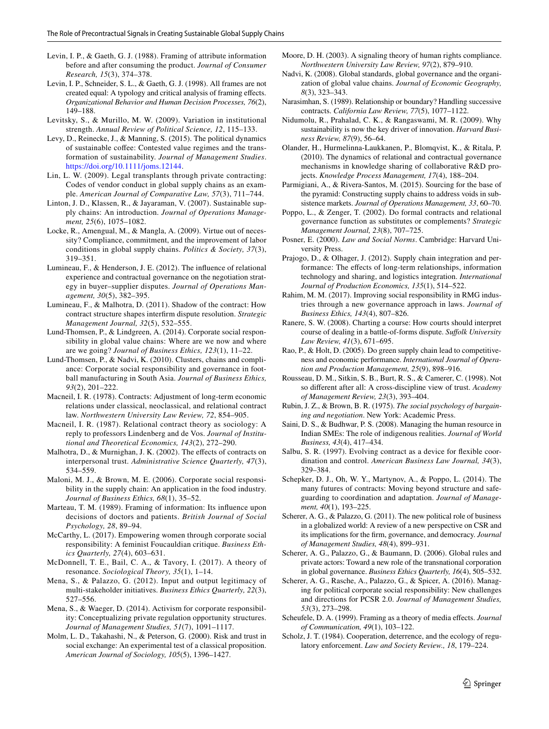- <span id="page-13-30"></span>Levin, I. P., & Gaeth, G. J. (1988). Framing of attribute information before and after consuming the product. *Journal of Consumer Research, 15*(3), 374–378.
- <span id="page-13-29"></span>Levin, I. P., Schneider, S. L., & Gaeth, G. J. (1998). All frames are not created equal: A typology and critical analysis of framing effects. *Organizational Behavior and Human Decision Processes, 76*(2), 149–188.
- <span id="page-13-8"></span>Levitsky, S., & Murillo, M. W. (2009). Variation in institutional strength. *Annual Review of Political Science, 12*, 115–133.
- <span id="page-13-0"></span>Levy, D., Reinecke, J., & Manning, S. (2015). The political dynamics of sustainable coffee: Contested value regimes and the transformation of sustainability. *Journal of Management Studies*. <https://doi.org/10.1111/joms.12144>.
- <span id="page-13-10"></span>Lin, L. W. (2009). Legal transplants through private contracting: Codes of vendor conduct in global supply chains as an example. *American Journal of Comparative Law, 57*(3), 711–744.
- <span id="page-13-1"></span>Linton, J. D., Klassen, R., & Jayaraman, V. (2007). Sustainable supply chains: An introduction. *Journal of Operations Management, 25*(6), 1075–1082.
- <span id="page-13-15"></span>Locke, R., Amengual, M., & Mangla, A. (2009). Virtue out of necessity? Compliance, commitment, and the improvement of labor conditions in global supply chains. *Politics & Society, 37*(3), 319–351.
- <span id="page-13-4"></span>Lumineau, F., & Henderson, J. E. (2012). The influence of relational experience and contractual governance on the negotiation strategy in buyer–supplier disputes. *Journal of Operations Management, 30*(5), 382–395.
- <span id="page-13-5"></span>Lumineau, F., & Malhotra, D. (2011). Shadow of the contract: How contract structure shapes interfirm dispute resolution. *Strategic Management Journal, 32*(5), 532–555.
- <span id="page-13-40"></span>Lund-Thomsen, P., & Lindgreen, A. (2014). Corporate social responsibility in global value chains: Where are we now and where are we going? *Journal of Business Ethics, 123*(1), 11–22.
- <span id="page-13-9"></span>Lund-Thomsen, P., & Nadvi, K. (2010). Clusters, chains and compliance: Corporate social responsibility and governance in football manufacturing in South Asia. *Journal of Business Ethics, 93*(2), 201–222.
- <span id="page-13-19"></span>Macneil, I. R. (1978). Contracts: Adjustment of long-term economic relations under classical, neoclassical, and relational contract law. *Northwestern University Law Review, 72*, 854–905.
- <span id="page-13-26"></span>Macneil, I. R. (1987). Relational contract theory as sociology: A reply to professors Lindenberg and de Vos. *Journal of Institutional and Theoretical Economics, 143*(2), 272–290.
- <span id="page-13-42"></span>Malhotra, D., & Murnighan, J. K. (2002). The effects of contracts on interpersonal trust. *Administrative Science Quarterly, 47*(3), 534–559.
- <span id="page-13-3"></span>Maloni, M. J., & Brown, M. E. (2006). Corporate social responsibility in the supply chain: An application in the food industry. *Journal of Business Ethics, 68*(1), 35–52.
- <span id="page-13-31"></span>Marteau, T. M. (1989). Framing of information: Its influence upon decisions of doctors and patients. *British Journal of Social Psychology, 28*, 89–94.
- <span id="page-13-11"></span>McCarthy, L. (2017). Empowering women through corporate social responsibility: A feminist Foucauldian critique. *Business Ethics Quarterly, 27*(4), 603–631.
- <span id="page-13-36"></span>McDonnell, T. E., Bail, C. A., & Tavory, I. (2017). A theory of resonance. *Sociological Theory, 35*(1), 1–14.
- <span id="page-13-16"></span>Mena, S., & Palazzo, G. (2012). Input and output legitimacy of multi-stakeholder initiatives. *Business Ethics Quarterly, 22*(3), 527–556.
- <span id="page-13-14"></span>Mena, S., & Waeger, D. (2014). Activism for corporate responsibility: Conceptualizing private regulation opportunity structures. *Journal of Management Studies, 51*(7), 1091–1117.
- <span id="page-13-33"></span>Molm, L. D., Takahashi, N., & Peterson, G. (2000). Risk and trust in social exchange: An experimental test of a classical proposition. *American Journal of Sociology, 105*(5), 1396–1427.
- <span id="page-13-28"></span>Moore, D. H. (2003). A signaling theory of human rights compliance. *Northwestern University Law Review, 97*(2), 879–910.
- <span id="page-13-37"></span>Nadvi, K. (2008). Global standards, global governance and the organization of global value chains. *Journal of Economic Geography, 8*(3), 323–343.
- <span id="page-13-25"></span>Narasimhan, S. (1989). Relationship or boundary? Handling successive contracts. *California Law Review, 77*(5), 1077–1122.
- <span id="page-13-32"></span>Nidumolu, R., Prahalad, C. K., & Rangaswami, M. R. (2009). Why sustainability is now the key driver of innovation. *Harvard Business Review, 87*(9), 56–64.
- <span id="page-13-6"></span>Olander, H., Hurmelinna-Laukkanen, P., Blomqvist, K., & Ritala, P. (2010). The dynamics of relational and contractual governance mechanisms in knowledge sharing of collaborative R&D projects. *Knowledge Process Management, 17*(4), 188–204.
- <span id="page-13-38"></span>Parmigiani, A., & Rivera-Santos, M. (2015). Sourcing for the base of the pyramid: Constructing supply chains to address voids in subsistence markets. *Journal of Operations Management, 33*, 60–70.
- <span id="page-13-7"></span>Poppo, L., & Zenger, T. (2002). Do formal contracts and relational governance function as substitutes or complements? *Strategic Management Journal, 23*(8), 707–725.
- <span id="page-13-27"></span>Posner, E. (2000). *Law and Social Norms*. Cambridge: Harvard University Press.
- <span id="page-13-35"></span>Prajogo, D., & Olhager, J. (2012). Supply chain integration and performance: The effects of long-term relationships, information technology and sharing, and logistics integration. *International Journal of Production Economics, 135*(1), 514–522.
- <span id="page-13-23"></span>Rahim, M. M. (2017). Improving social responsibility in RMG industries through a new governance approach in laws. *Journal of Business Ethics, 143*(4), 807–826.
- <span id="page-13-22"></span>Ranere, S. W. (2008). Charting a course: How courts should interpret course of dealing in a battle-of-forms dispute. *Suffolk University Law Review, 41*(3), 671–695.
- <span id="page-13-2"></span>Rao, P., & Holt, D. (2005). Do green supply chain lead to competitiveness and economic performance. *International Journal of Operation and Production Management, 25*(9), 898–916.
- <span id="page-13-34"></span>Rousseau, D. M., Sitkin, S. B., Burt, R. S., & Camerer, C. (1998). Not so different after all: A cross-discipline view of trust. *Academy of Management Review, 23*(3), 393–404.
- <span id="page-13-24"></span>Rubin, J. Z., & Brown, B. R. (1975). *The social psychology of bargaining and negotiation*. New York: Academic Press.
- <span id="page-13-17"></span>Saini, D. S., & Budhwar, P. S. (2008). Managing the human resource in Indian SMEs: The role of indigenous realities. *Journal of World Business, 43*(4), 417–434.
- <span id="page-13-21"></span>Salbu, S. R. (1997). Evolving contract as a device for flexible coordination and control. *American Business Law Journal, 34*(3), 329–384.
- <span id="page-13-20"></span>Schepker, D. J., Oh, W. Y., Martynov, A., & Poppo, L. (2014). The many futures of contracts: Moving beyond structure and safeguarding to coordination and adaptation. *Journal of Management, 40*(1), 193–225.
- <span id="page-13-12"></span>Scherer, A. G., & Palazzo, G. (2011). The new political role of business in a globalized world: A review of a new perspective on CSR and its implications for the firm, governance, and democracy. *Journal of Management Studies, 48*(4), 899–931.
- <span id="page-13-39"></span>Scherer, A. G., Palazzo, G., & Baumann, D. (2006). Global rules and private actors: Toward a new role of the transnational corporation in global governance. *Business Ethics Quarterly, 16*(4), 505–532.
- <span id="page-13-13"></span>Scherer, A. G., Rasche, A., Palazzo, G., & Spicer, A. (2016). Managing for political corporate social responsibility: New challenges and directions for PCSR 2.0. *Journal of Management Studies, 53*(3), 273–298.
- <span id="page-13-41"></span>Scheufele, D. A. (1999). Framing as a theory of media effects. *Journal of Communication, 49*(1), 103–122.
- <span id="page-13-18"></span>Scholz, J. T. (1984). Cooperation, deterrence, and the ecology of regulatory enforcement. *Law and Society Review., 18*, 179–224.